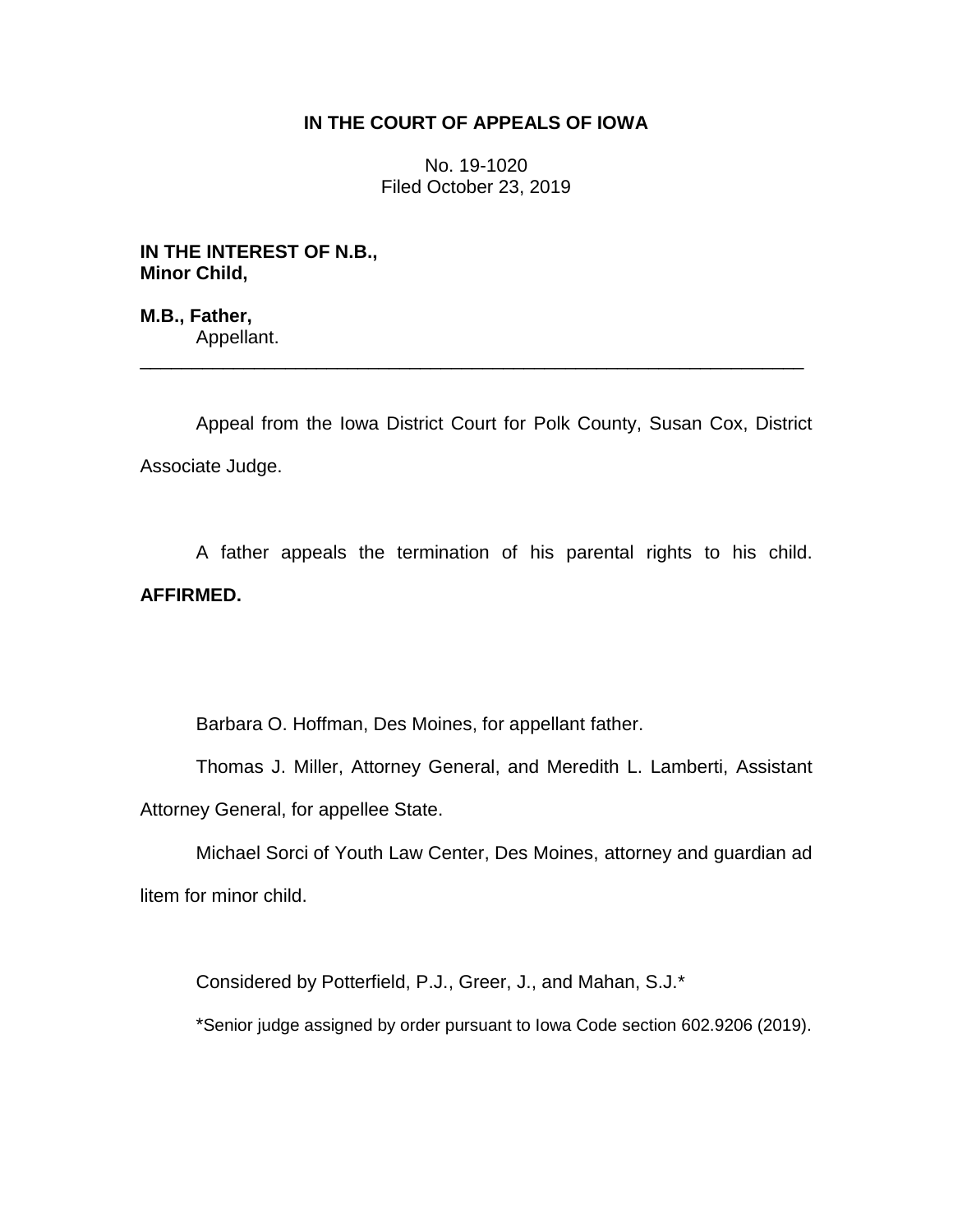# **IN THE COURT OF APPEALS OF IOWA**

No. 19-1020 Filed October 23, 2019

**IN THE INTEREST OF N.B., Minor Child,**

**M.B., Father,** Appellant.

Appeal from the Iowa District Court for Polk County, Susan Cox, District Associate Judge.

\_\_\_\_\_\_\_\_\_\_\_\_\_\_\_\_\_\_\_\_\_\_\_\_\_\_\_\_\_\_\_\_\_\_\_\_\_\_\_\_\_\_\_\_\_\_\_\_\_\_\_\_\_\_\_\_\_\_\_\_\_\_\_\_

A father appeals the termination of his parental rights to his child. **AFFIRMED.**

Barbara O. Hoffman, Des Moines, for appellant father.

Thomas J. Miller, Attorney General, and Meredith L. Lamberti, Assistant Attorney General, for appellee State.

Michael Sorci of Youth Law Center, Des Moines, attorney and guardian ad litem for minor child.

Considered by Potterfield, P.J., Greer, J., and Mahan, S.J.\*

\*Senior judge assigned by order pursuant to Iowa Code section 602.9206 (2019).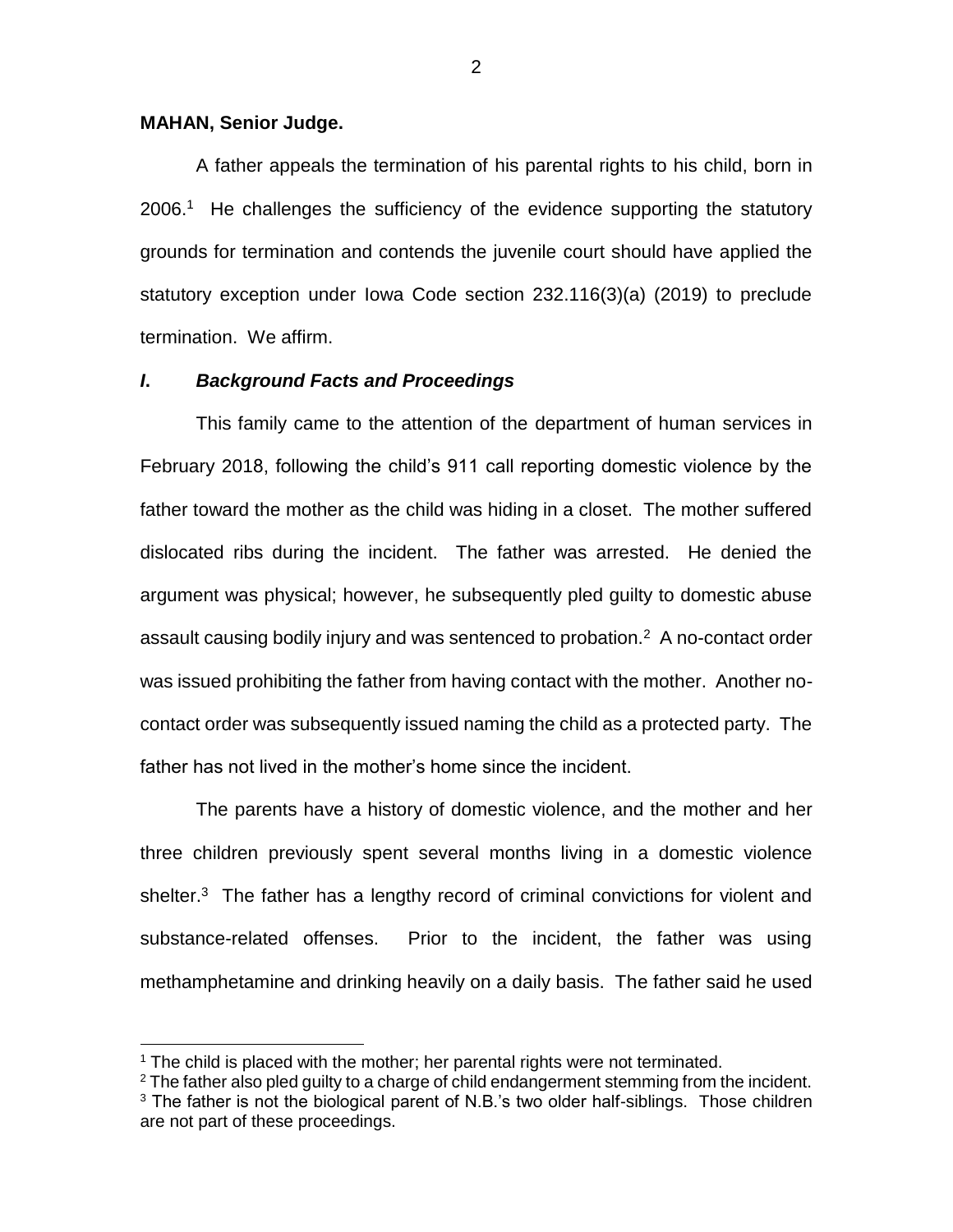#### **MAHAN, Senior Judge.**

 $\overline{a}$ 

A father appeals the termination of his parental rights to his child, born in 2006.<sup>1</sup> He challenges the sufficiency of the evidence supporting the statutory grounds for termination and contends the juvenile court should have applied the statutory exception under Iowa Code section 232.116(3)(a) (2019) to preclude termination. We affirm.

#### *I***.** *Background Facts and Proceedings*

This family came to the attention of the department of human services in February 2018, following the child's 911 call reporting domestic violence by the father toward the mother as the child was hiding in a closet. The mother suffered dislocated ribs during the incident. The father was arrested. He denied the argument was physical; however, he subsequently pled guilty to domestic abuse assault causing bodily injury and was sentenced to probation. $2$  A no-contact order was issued prohibiting the father from having contact with the mother. Another nocontact order was subsequently issued naming the child as a protected party. The father has not lived in the mother's home since the incident.

The parents have a history of domestic violence, and the mother and her three children previously spent several months living in a domestic violence shelter.<sup>3</sup> The father has a lengthy record of criminal convictions for violent and substance-related offenses. Prior to the incident, the father was using methamphetamine and drinking heavily on a daily basis. The father said he used

 $1$  The child is placed with the mother; her parental rights were not terminated.

 $2$  The father also pled guilty to a charge of child endangerment stemming from the incident.

 $3$  The father is not the biological parent of N.B.'s two older half-siblings. Those children are not part of these proceedings.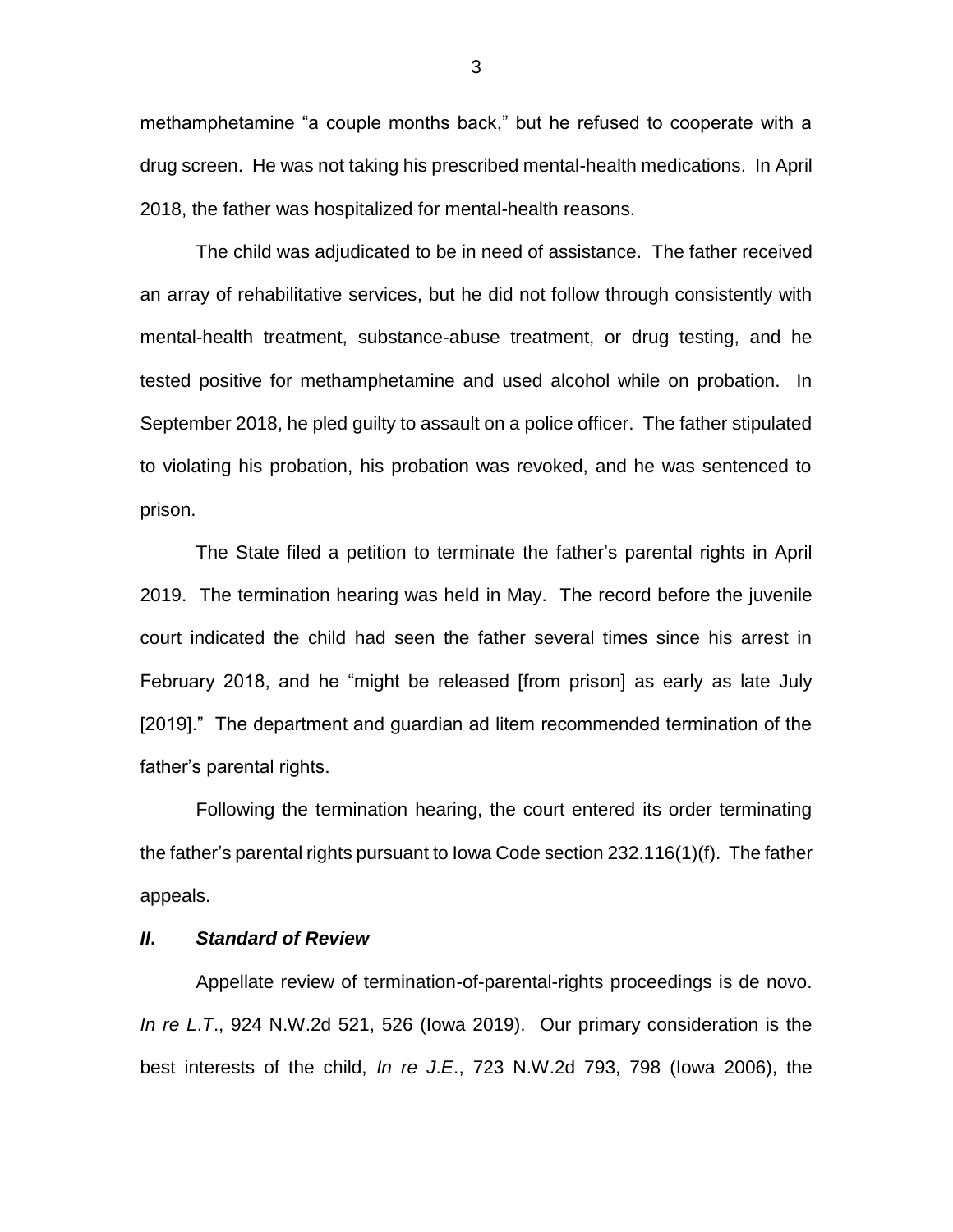methamphetamine "a couple months back," but he refused to cooperate with a drug screen. He was not taking his prescribed mental-health medications. In April 2018, the father was hospitalized for mental-health reasons.

The child was adjudicated to be in need of assistance. The father received an array of rehabilitative services, but he did not follow through consistently with mental-health treatment, substance-abuse treatment, or drug testing, and he tested positive for methamphetamine and used alcohol while on probation. In September 2018, he pled guilty to assault on a police officer. The father stipulated to violating his probation, his probation was revoked, and he was sentenced to prison.

The State filed a petition to terminate the father's parental rights in April 2019. The termination hearing was held in May. The record before the juvenile court indicated the child had seen the father several times since his arrest in February 2018, and he "might be released [from prison] as early as late July [2019]." The department and guardian ad litem recommended termination of the father's parental rights.

Following the termination hearing, the court entered its order terminating the father's parental rights pursuant to Iowa Code section 232.116(1)(f). The father appeals.

### *II***.** *Standard of Review*

Appellate review of termination-of-parental-rights proceedings is de novo. *In re L*.*T*., 924 N.W.2d 521, 526 (Iowa 2019). Our primary consideration is the best interests of the child, *In re J*.*E*., 723 N.W.2d 793, 798 (Iowa 2006), the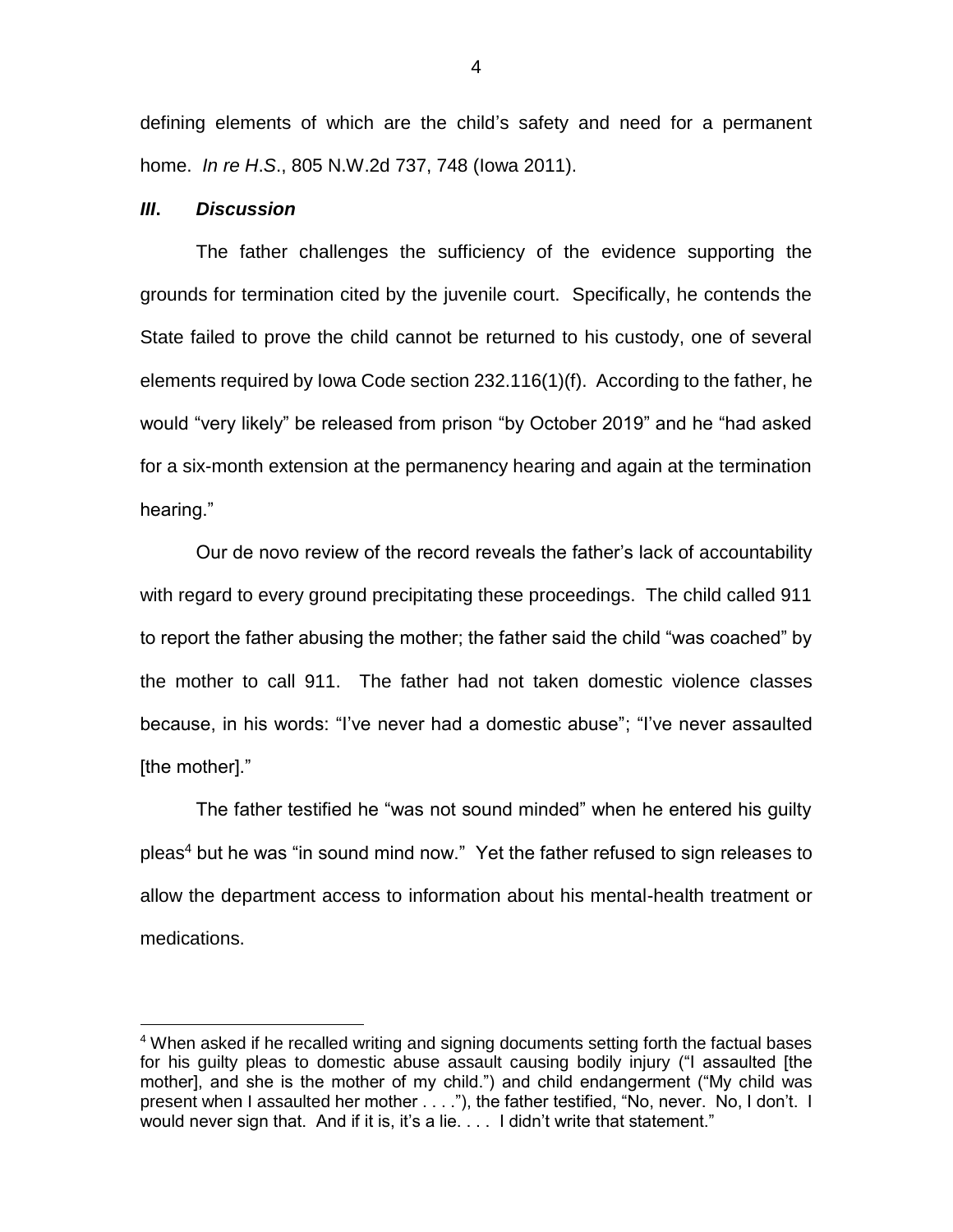defining elements of which are the child's safety and need for a permanent home. *In re H*.*S*., 805 N.W.2d 737, 748 (Iowa 2011).

#### *III***.** *Discussion*

 $\overline{a}$ 

The father challenges the sufficiency of the evidence supporting the grounds for termination cited by the juvenile court. Specifically, he contends the State failed to prove the child cannot be returned to his custody, one of several elements required by Iowa Code section 232.116(1)(f). According to the father, he would "very likely" be released from prison "by October 2019" and he "had asked for a six-month extension at the permanency hearing and again at the termination hearing."

Our de novo review of the record reveals the father's lack of accountability with regard to every ground precipitating these proceedings. The child called 911 to report the father abusing the mother; the father said the child "was coached" by the mother to call 911. The father had not taken domestic violence classes because, in his words: "I've never had a domestic abuse"; "I've never assaulted [the mother]."

The father testified he "was not sound minded" when he entered his guilty pleas<sup>4</sup> but he was "in sound mind now." Yet the father refused to sign releases to allow the department access to information about his mental-health treatment or medications.

<sup>&</sup>lt;sup>4</sup> When asked if he recalled writing and signing documents setting forth the factual bases for his guilty pleas to domestic abuse assault causing bodily injury ("I assaulted [the mother], and she is the mother of my child.") and child endangerment ("My child was present when I assaulted her mother . . . ."), the father testified, "No, never. No, I don't. I would never sign that. And if it is, it's a lie. . . . I didn't write that statement."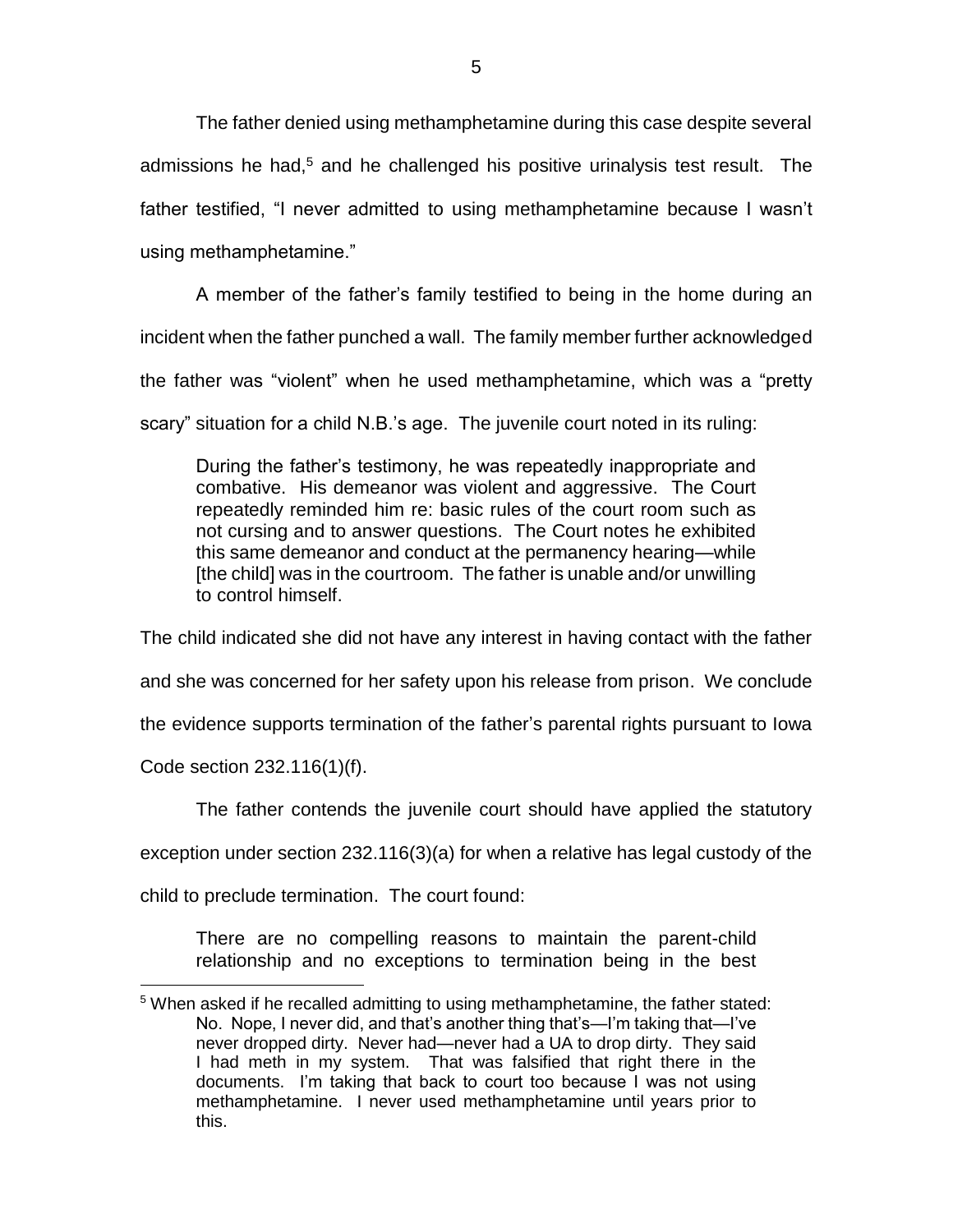The father denied using methamphetamine during this case despite several admissions he had,<sup>5</sup> and he challenged his positive urinalysis test result. The father testified, "I never admitted to using methamphetamine because I wasn't using methamphetamine."

A member of the father's family testified to being in the home during an incident when the father punched a wall. The family member further acknowledged the father was "violent" when he used methamphetamine, which was a "pretty scary" situation for a child N.B.'s age. The juvenile court noted in its ruling:

During the father's testimony, he was repeatedly inappropriate and combative. His demeanor was violent and aggressive. The Court repeatedly reminded him re: basic rules of the court room such as not cursing and to answer questions. The Court notes he exhibited this same demeanor and conduct at the permanency hearing—while [the child] was in the courtroom. The father is unable and/or unwilling to control himself.

The child indicated she did not have any interest in having contact with the father and she was concerned for her safety upon his release from prison. We conclude the evidence supports termination of the father's parental rights pursuant to Iowa

Code section 232.116(1)(f).

 $\overline{a}$ 

The father contends the juvenile court should have applied the statutory

exception under section 232.116(3)(a) for when a relative has legal custody of the

child to preclude termination. The court found:

There are no compelling reasons to maintain the parent-child relationship and no exceptions to termination being in the best

 $5$  When asked if he recalled admitting to using methamphetamine, the father stated: No. Nope, I never did, and that's another thing that's—I'm taking that—I've never dropped dirty. Never had—never had a UA to drop dirty. They said I had meth in my system. That was falsified that right there in the documents. I'm taking that back to court too because I was not using methamphetamine. I never used methamphetamine until years prior to this.